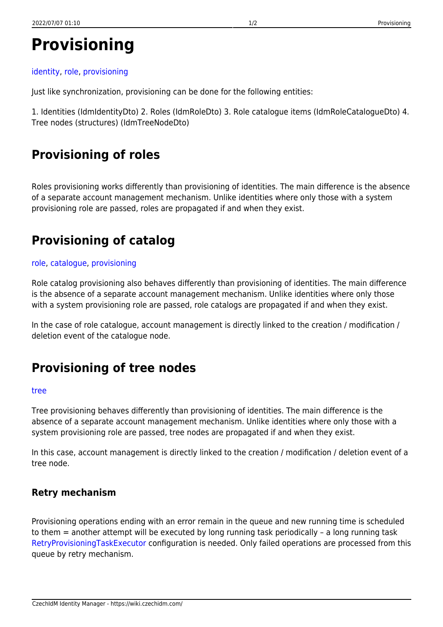# **Provisioning**

#### [identity](https://wiki.czechidm.com/tag/identity?do=showtag&tag=identity), [role,](https://wiki.czechidm.com/tag/role?do=showtag&tag=role) [provisioning](https://wiki.czechidm.com/tag/provisioning?do=showtag&tag=provisioning)

Just like synchronization, provisioning can be done for the following entities:

1. Identities (IdmIdentityDto) 2. Roles (IdmRoleDto) 3. Role catalogue items (IdmRoleCatalogueDto) 4. Tree nodes (structures) (IdmTreeNodeDto)

# **Provisioning of roles**

Roles provisioning works differently than provisioning of identities. The main difference is the absence of a separate account management mechanism. Unlike identities where only those with a system provisioning role are passed, roles are propagated if and when they exist.

# **Provisioning of catalog**

#### [role](https://wiki.czechidm.com/tag/role?do=showtag&tag=role), [catalogue,](https://wiki.czechidm.com/tag/catalogue?do=showtag&tag=catalogue) [provisioning](https://wiki.czechidm.com/tag/provisioning?do=showtag&tag=provisioning)

Role catalog provisioning also behaves differently than provisioning of identities. The main difference is the absence of a separate account management mechanism. Unlike identities where only those with a system provisioning role are passed, role catalogs are propagated if and when they exist.

In the case of role catalogue, account management is directly linked to the creation / modification / deletion event of the catalogue node.

## **Provisioning of tree nodes**

#### [tree](https://wiki.czechidm.com/tag/tree?do=showtag&tag=tree)

Tree provisioning behaves differently than provisioning of identities. The main difference is the absence of a separate account management mechanism. Unlike identities where only those with a system provisioning role are passed, tree nodes are propagated if and when they exist.

In this case, account management is directly linked to the creation / modification / deletion event of a tree node.

### **Retry mechanism**

Provisioning operations ending with an error remain in the queue and new running time is scheduled to them = another attempt will be executed by long running task periodically – a long running task [RetryProvisioningTaskExecutor](https://wiki.czechidm.com/devel/application_configuration/dev/scheduled_tasks/task-scheduler#retryprovisioningtaskexecutor) configuration is needed. Only failed operations are processed from this queue by retry mechanism.